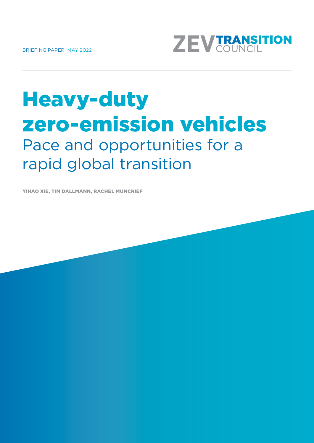

# Heavy-duty zero-emission vehicles Pace and opportunities for a rapid global transition

YIHAO XIE, TIM DALLMANN, RACHEL MUNCRIEF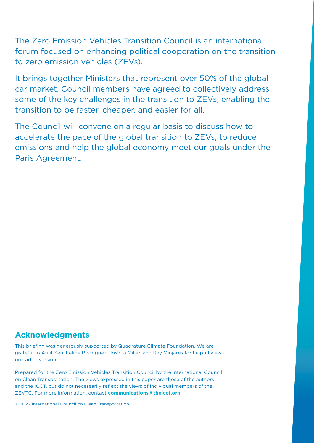The Zero Emission Vehicles Transition Council is an international forum focused on enhancing political cooperation on the transition to zero emission vehicles (ZEVs).

It brings together Ministers that represent over 50% of the global car market. Council members have agreed to collectively address some of the key challenges in the transition to ZEVs, enabling the transition to be faster, cheaper, and easier for all.

The Council will convene on a regular basis to discuss how to accelerate the pace of the global transition to ZEVs, to reduce emissions and help the global economy meet our goals under the Paris Agreement.

# **Acknowledgments**

This briefing was generously supported by Quadrature Climate Foundation. We are grateful to Arijit Sen, Felipe Rodríguez, Joshua Miller, and Ray Minjares for helpful views on earlier versions.

Prepared for the Zero Emission Vehicles Transition Council by the International Council on Clean Transportation. The views expressed in this paper are those of the authors and the ICCT, but do not necessarily reflect the views of individual members of the ZEVTC. For more information, contact **[communications@theicct.org](mailto:communications@theicct.org)**.

© 2022 International Council on Clean Transportation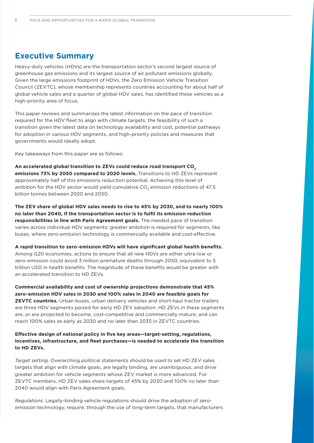# **Executive Summary**

Heavy-duty vehicles (HDVs) are the transportation sector's second largest source of greenhouse gas emissions and its largest source of air pollutant emissions globally. Given the large emissions footprint of HDVs, the Zero Emission Vehicle Transition Council (ZEVTC), whose membership represents countries accounting for about half of global vehicle sales and a quarter of global HDV sales, has identified these vehicles as a high-priority area of focus.

This paper reviews and summarizes the latest information on the pace of transition required for the HDV fleet to align with climate targets, the feasibility of such a transition given the latest data on technology availability and cost, potential pathways for adoption in various HDV segments, and high-priority policies and measures that governments would ideally adopt.

Key takeaways from this paper are as follows:

**An accelerated global transition to ZEVs could reduce road transport CO2 emissions 73% by 2050 compared to 2020 levels.** Transitions to HD ZEVs represent approximately half of this emissions reduction potential. Achieving this level of ambition for the HDV sector would yield cumulative CO<sub>2</sub> emission reductions of 47.5 billion tonnes between 2020 and 2050.

**The ZEV share of global HDV sales needs to rise to 45% by 2030, and to nearly 100% no later than 2040, if the transportation sector is to fulfil its emission reduction responsibilities in line with Paris Agreement goals.** The needed pace of transition varies across individual HDV segments; greater ambition is required for segments, like buses, where zero-emission technology is commercially available and cost-effective.

**A rapid transition to zero-emission HDVs will have significant global health benefits.**

Among G20 economies, actions to ensure that all new HDVs are either ultra-low or zero-emission could avoid 3 million premature deaths through 2050, equivalent to 5 trillion USD in health benefits. The magnitude of these benefits would be greater with an accelerated transition to HD ZEVs.

**Commercial availability and cost of ownership projections demonstrate that 45% zero-emission HDV sales in 2030 and 100% sales in 2040 are feasible goals for ZEVTC countries.** Urban buses, urban delivery vehicles and short-haul tractor trailers are three HDV segments poised for early HD ZEV adoption. HD ZEVs in these segments are, or are projected to become, cost-competitive and commercially mature, and can reach 100% sales as early as 2030 and no later than 2035 in ZEVTC countries.

#### **Effective design of national policy in five key areas—target-setting, regulations, incentives, infrastructure, and fleet purchases—is needed to accelerate the transition to HD ZEVs.**

*Target setting*. Overarching political statements should be used to set HD ZEV sales targets that align with climate goals, are legally binding, are unambiguous, and drive greater ambition for vehicle segments whose ZEV market is more advanced. For ZEVTC members, HD ZEV sales share targets of 45% by 2030 and 100% no later than 2040 would align with Paris Agreement goals.

*Regulations*. Legally-binding vehicle regulations should drive the adoption of zeroemission technology; require, through the use of long-term targets, that manufacturers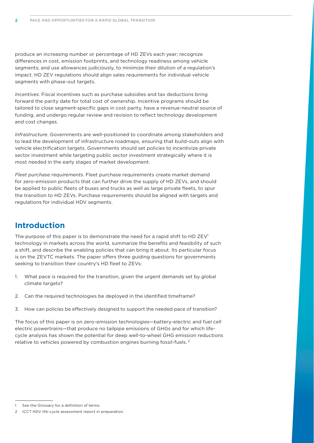produce an increasing number or percentage of HD ZEVs each year; recognize differences in cost, emission footprints, and technology readiness among vehicle segments; and use allowances judiciously, to minimize their dilution of a regulation's impact. HD ZEV regulations should align sales requirements for individual vehicle segments with phase-out targets.

*Incentives*. Fiscal incentives such as purchase subsidies and tax deductions bring forward the parity date for total cost of ownership. Incentive programs should be tailored to close segment-specific gaps in cost parity, have a revenue-neutral source of funding, and undergo regular review and revision to reflect technology development and cost changes.

*Infrastructure*. Governments are well-positioned to coordinate among stakeholders and to lead the development of infrastructure roadmaps, ensuring that build-outs align with vehicle electrification targets. Governments should set policies to incentivize private sector investment while targeting public sector investment strategically where it is most needed in the early stages of market development.

*Fleet purchase requirements*. Fleet purchase requirements create market demand for zero-emission products that can further drive the supply of HD ZEVs, and should be applied to public fleets of buses and trucks as well as large private fleets, to spur the transition to HD ZEVs. Purchase requirements should be aligned with targets and regulations for individual HDV segments.

# **Introduction**

The purpose of this paper is to demonstrate the need for a rapid shift to HD  $ZEV<sup>1</sup>$ technology in markets across the world, summarize the benefits and feasibility of such a shift, and describe the enabling policies that can bring it about. Its particular focus is on the ZEVTC markets. The paper offers three guiding questions for governments seeking to transition their country's HD fleet to ZEVs:

- 1. What pace is required for the transition, given the urgent demands set by global climate targets?
- 2. Can the required technologies be deployed in the identified timeframe?
- 3. How can policies be effectively designed to support the needed pace of transition?

The focus of this paper is on zero-emission technologies—battery-electric and fuel cell electric powertrains—that produce no tailpipe emissions of GHGs and for which lifecycle analysis has shown the potential for deep well-to-wheel GHG emission reductions relative to vehicles powered by combustion engines burning fossil-fuels. 2

See the Glossary for a definition of terms.

<sup>2</sup> ICCT HDV life-cycle assessment report in preparation.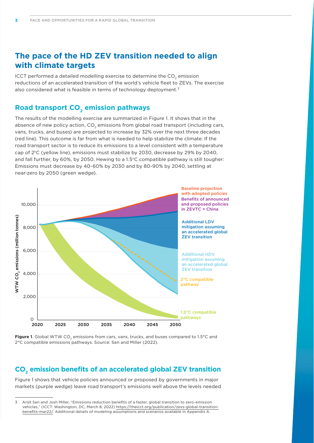# **The pace of the HD ZEV transition needed to align with climate targets**

ICCT performed a detailed modelling exercise to determine the CO<sub>2</sub> emission reductions of an accelerated transition of the world's vehicle fleet to ZEVs. The exercise also considered what is feasible in terms of technology deployment.<sup>3</sup>

## **Road transport CO<sub>2</sub> emission pathways**

The results of the modelling exercise are summarized in Figure 1. It shows that in the absence of new policy action, CO<sub>2</sub> emissions from global road transport (including cars, vans, trucks, and buses) are projected to increase by 32% over the next three decades (red line). This outcome is far from what is needed to help stabilize the climate: If the road transport sector is to reduce its emissions to a level consistent with a temperature cap of 2°C (yellow line), emissions must stabilize by 2030, decrease by 29% by 2040, and fall further, by 60%, by 2050. Hewing to a  $1.5^{\circ}$ C compatible pathway is still tougher: Emissions must decrease by 40-60% by 2030 and by 80-90% by 2040, settling at near-zero by 2050 (green wedge).



Figure 1. Global WTW CO<sub>2</sub> emissions from cars, vans, trucks, and buses compared to 1.5°C and 2°C compatible emissions pathways. Source: Sen and Miller (2022).

## **CO2 emission benefits of an accelerated global ZEV transition**

Figure 1 shows that vehicle policies announced or proposed by governments in major markets (purple wedge) leave road transport's emissions well above the levels needed

<sup>3</sup> Arijit Sen and Josh Miller, "Emissions reduction benefits of a faster, global transition to zero-emission vehicles," (ICCT: Washington, DC, March 8, 2022) [https://theicct.org/publication/zevs-global-transition](https://theicct.org/publication/zevs-global-transition-benefits-mar22/)[benefits-mar22/](https://theicct.org/publication/zevs-global-transition-benefits-mar22/). Additional details of modeling assumptions and scenarios available in Appendix A.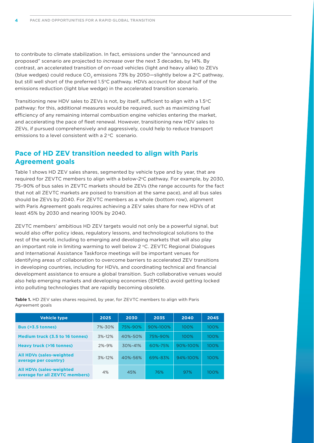to contribute to climate stabilization. In fact, emissions under the "announced and proposed" scenario are projected to *increase* over the next 3 decades, by 14%. By contrast, an accelerated transition of on-road vehicles (light and heavy alike) to ZEVs (blue wedges) could reduce  $CO<sub>2</sub>$  emissions 73% by 2050—slightly below a 2 $\degree$ C pathway, but still well short of the preferred 1.5°C pathway. HDVs account for about half of the emissions reduction (light blue wedge) in the accelerated transition scenario.

Transitioning new HDV sales to ZEVs is not, by itself, sufficient to align with a 1.5°C pathway: for this, additional measures would be required, such as maximizing fuel efficiency of any remaining internal combustion engine vehicles entering the market, and accelerating the pace of fleet renewal. However, transitioning new HDV sales to ZEVs, if pursued comprehensively and aggressively, could help to reduce transport emissions to a level consistent with a  $2^{\circ}$ C scenario.

## **Pace of HD ZEV transition needed to align with Paris Agreement goals**

Table 1 shows HD ZEV sales shares, segmented by vehicle type and by year, that are required for ZEVTC members to align with a below-2°C pathway. For example, by 2030, 75–90% of bus sales in ZEVTC markets should be ZEVs (the range accounts for the fact that not all ZEVTC markets are poised to transition at the same pace), and all bus sales should be ZEVs by 2040. For ZEVTC members as a whole (bottom row), alignment with Paris Agreement goals requires achieving a ZEV sales share for new HDVs of at least 45% by 2030 and nearing 100% by 2040.

ZEVTC members' ambitious HD ZEV targets would not only be a powerful signal, but would also offer policy ideas, regulatory lessons, and technological solutions to the rest of the world, including to emerging and developing markets that will also play an important role in limiting warming to well below  $2 \degree C$ . ZEVTC Regional Dialogues and International Assistance Taskforce meetings will be important venues for identifying areas of collaboration to overcome barriers to accelerated ZEV transitions in developing countries, including for HDVs, and coordinating technical and financial development assistance to ensure a global transition. Such collaborative venues would also help emerging markets and developing economies (EMDEs) avoid getting locked into polluting technologies that are rapidly becoming obsolete.

**Table 1.** HD ZEV sales shares required, by year, for ZEVTC members to align with Paris Agreement goals

| <b>Vehicle type</b>                                               | 2025         | 2030    | 2035     | 2040     | 2045 |
|-------------------------------------------------------------------|--------------|---------|----------|----------|------|
| Bus (>3.5 tonnes)                                                 | 7%-30%       | 75%-90% | 90%-100% | 100%     | 100% |
| Medium truck (3.5 to 16 tonnes)                                   | $3\% - 12\%$ | 40%-50% | 75%-90%  | 100%     | 100% |
| <b>Heavy truck (&gt;16 tonnes)</b>                                | $2\% - 9\%$  | 30%-41% | 60%-75%  | 90%-100% | 100% |
| <b>All HDVs (sales-weighted</b><br>average per country)           | $3\% - 12\%$ | 40%-56% | 69%-83%  | 94%-100% | 100% |
| <b>All HDVs (sales-weighted</b><br>average for all ZEVTC members) | 4%           | 45%     | 76%      | 97%      | 100% |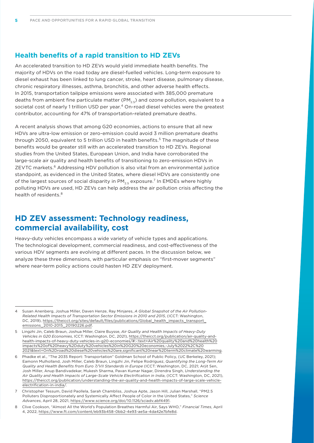## **Health benefits of a rapid transition to HD ZEVs**

An accelerated transition to HD ZEVs would yield immediate health benefits. The majority of HDVs on the road today are diesel-fuelled vehicles. Long-term exposure to diesel exhaust has been linked to lung cancer, stroke, heart disease, pulmonary disease, chronic respiratory illnesses, asthma, bronchitis, and other adverse health effects. In 2015, transportation tailpipe emissions were associated with 385,000 premature deaths from ambient fine particulate matter (PM<sub>2.5</sub>) and ozone pollution, equivalent to a societal cost of nearly 1 trillion USD per year.<sup>4</sup> On-road diesel vehicles were the greatest contributor, accounting for 47% of transportation-related premature deaths.

A recent analysis shows that among G20 economies, actions to ensure that all new HDVs are ultra-low emission or zero-emission could avoid 3 million premature deaths through 2050, equivalent to 5 trillion USD in health benefits.<sup>5</sup> The magnitude of these benefits would be greater still with an accelerated transition to HD ZEVs. Regional studies from the United States, European Union, and India have corroborated the large-scale air quality and health benefits of transitioning to zero-emission HDVs in ZEVTC markets.6 Addressing HDV pollution is also vital from an environmental justice standpoint, as evidenced in the United States, where diesel HDVs are consistently one of the largest sources of social disparity in  $PM_{2.5}$  exposure.<sup>7</sup> In EMDEs where highly polluting HDVs are used, HD ZEVs can help address the air pollution crisis affecting the health of residents.<sup>8</sup>

# **HD ZEV assessment: Technology readiness, commercial availability, cost**

Heavy-duty vehicles encompass a wide variety of vehicle types and applications. The technological development, commercial readiness, and cost-effectiveness of the various HDV segments are evolving at different paces. In the discussion below, we analyze these three dimensions, with particular emphasis on "first-mover segments" where near-term policy actions could hasten HD ZEV deployment.

<sup>4</sup> Susan Anenberg, Joshua Miller, Daven Henze, Ray Minjares, *A Global Snapshot of the Air Pollution-Related Health Impacts of Transportation Sector Emissions in 2010 and 2015*, (ICCT: Washington, DC, 2019), https://theicct.org/sites/default/files/publications/Global\_health\_impacts\_transport [emissions\\_2010-2015\\_20190226.pdf](https://theicct.org/sites/default/files/publications/Global_health_impacts_transport_emissions_2010-2015_20190226.pdf).

<sup>5</sup> Lingzhi Jin, Caleb Braun, Joshua Miller, Claire Buysse, *Air Quality and Health Impacts of Heavy-Duty Vehicles in G20 Economies*, ICCT: Washington, DC, 2021), [https://theicct.org/publication/air-quality-and](https://theicct.org/publication/air-quality-and-health-impacts-of-heavy-duty-vehicles-in-g20-economies/#:~:text=Air%20quality%20and%20health%20impacts%20of%20heavy%2Dduty%20vehicles%20in%20G20%20economies,-July%2022%2C%202021&text=On%2Droad%20diesel%20veh)[health-impacts-of-heavy-duty-vehicles-in-g20-economies/#:~:text=Air%20quality%20and%20health%20](https://theicct.org/publication/air-quality-and-health-impacts-of-heavy-duty-vehicles-in-g20-economies/#:~:text=Air%20quality%20and%20health%20impacts%20of%20heavy%2Dduty%20vehicles%20in%20G20%20economies,-July%2022%2C%202021&text=On%2Droad%20diesel%20veh) [impacts%20of%20heavy%2Dduty%20vehicles%20in%20G20%20economies,-July%2022%2C%20](https://theicct.org/publication/air-quality-and-health-impacts-of-heavy-duty-vehicles-in-g20-economies/#:~:text=Air%20quality%20and%20health%20impacts%20of%20heavy%2Dduty%20vehicles%20in%20G20%20economies,-July%2022%2C%202021&text=On%2Droad%20diesel%20veh) [2021&text=On%2Droad%20diesel%20vehicles%20are,significant%20near%2Dterm%20climate%20warming](https://theicct.org/publication/air-quality-and-health-impacts-of-heavy-duty-vehicles-in-g20-economies/#:~:text=Air%20quality%20and%20health%20impacts%20of%20heavy%2Dduty%20vehicles%20in%20G20%20economies,-July%2022%2C%202021&text=On%2Droad%20diesel%20veh).

<sup>6</sup> Phadke et al., "The 2035 Report: Transportation" Goldman School of Public Policy, (UC Berkeley, 2021); Eamonn Mulholland, Josh Miller, Caleb Braun, Lingzhi Jin, Felipe Rodríguez, *Quantifying the Long-Term Air Quality and Health Benefits from Euro 7/VII Standards in Europe* (ICCT: Washington, DC, 2021; Arjit Sen, Josh Miller, Anup Bandivadekar, Mukesh Sharma, Pavan Kumar Nagar, Direndra Singh, *Understanding the Air Quality and Health Impacts of Large-Scale Vehicle Electrification in India*, (ICCT: Washington, DC, 2021), [https://theicct.org/publication/understanding-the-air-quality-and-health-impacts-of-large-scale-vehicle](https://theicct.org/publication/understanding-the-air-quality-and-health-impacts-of-large-scale-vehicle-electrification-in-india)[electrification-in-india](https://theicct.org/publication/understanding-the-air-quality-and-health-impacts-of-large-scale-vehicle-electrification-in-india)/.

<sup>7</sup> Christopher Tessum, David Paollela, Sarah Chambliss, Joshua Apte, Jason Hill, Julian Marshall, "PM2.5 Polluters Disproportionately and Systemically Affect People of Color in the United States," *Science Advances*, April 28, 2021, [https://www.science.org/doi/10.1126/sciadv.abf4491.](https://www.science.org/doi/10.1126/sciadv.abf4491)

<sup>8</sup> Clive Cookson, "Almost All the World's Population Breathes Harmful Air, Says WHO," *Financial Times*, April 4, 2022, [https://www.ft.com/content/eb93b458-0bb2-4e93-ae5a-4da42e7bfe8d.](https://www.ft.com/content/eb93b458-0bb2-4e93-ae5a-4da42e7bfe8d)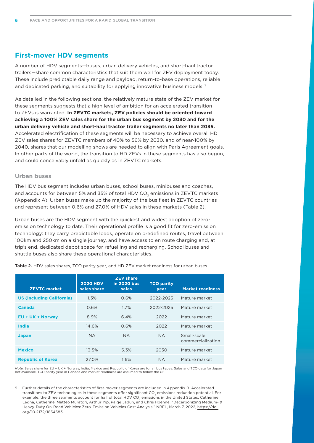## **First-mover HDV segments**

A number of HDV segments—buses, urban delivery vehicles, and short-haul tractor trailers—share common characteristics that suit them well for ZEV deployment today. These include predictable daily range and payload, return-to-base operations, reliable and dedicated parking, and suitability for applying innovative business models.<sup>9</sup>

As detailed in the following sections, the relatively mature state of the ZEV market for these segments suggests that a high level of ambition for an accelerated transition to ZEVs is warranted. **In ZEVTC markets, ZEV policies should be oriented toward achieving a 100% ZEV sales share for the urban bus segment by 2030 and for the urban delivery vehicle and short-haul tractor trailer segments no later than 2035.** Accelerated electrification of these segments will be necessary to achieve overall HD ZEV sales shares for ZEVTC members of 40% to 56% by 2030, and of near-100% by 2040, shares that our modelling shows are needed to align with Paris Agreement goals. In other parts of the world, the transition to HD ZEVs in these segments has also begun, and could conceivably unfold as quickly as in ZEVTC markets.

#### **Urban buses**

The HDV bus segment includes urban buses, school buses, minibuses and coaches, and accounts for between 5% and 35% of total HDV CO<sub>2</sub> emissions in ZEVTC markets (Appendix A). Urban buses make up the majority of the bus fleet in ZEVTC countries and represent between 0.6% and 27.0% of HDV sales in these markets (Table 2).

Urban buses are the HDV segment with the quickest and widest adoption of zeroemission technology to date. Their operational profile is a good fit for zero-emission technology: they carry predictable loads, operate on predefined routes, travel between 100km and 250km on a single journey, and have access to en route charging and, at trip's end, dedicated depot space for refuelling and recharging. School buses and shuttle buses also share these operational characteristics.

| <b>ZEVTC market</b>              | <b>2020 HDV</b><br>sales share | <b>ZEV share</b><br>in 2020 bus<br>sales | <b>TCO parity</b><br>year | <b>Market readiness</b>          |
|----------------------------------|--------------------------------|------------------------------------------|---------------------------|----------------------------------|
| <b>US (including California)</b> | 1.3%                           | 0.6%                                     | 2022-2025                 | Mature market                    |
| Canada                           | 0.6%                           | 1.7%                                     | 2022-2025                 | Mature market                    |
| <b>EU + UK + Norway</b>          | 8.9%                           | 6.4%                                     | 2022                      | Mature market                    |
| India                            | 14.6%                          | 0.6%                                     | 2022                      | Mature market                    |
| <b>Japan</b>                     | <b>NA</b>                      | <b>NA</b>                                | NA.                       | Small-scale<br>commercialization |
| <b>Mexico</b>                    | 13.5%                          | 5.3%                                     | 2030                      | Mature market                    |
| <b>Republic of Korea</b>         | 27.0%                          | 1.6%                                     | <b>NA</b>                 | Mature market                    |

**Table 2.** HDV sales shares, TCO parity year, and HD ZEV market readiness for urban buses

*Note:* Sales share for EU + UK + Norway, India, Mexico and Republic of Korea are for all bus types. Sales and TCO data for Japan not available. TCO parity year in Canada and market readiness are assumed to follow the US.

<sup>9</sup> Further details of the characteristics of first-mover segments are included in Appendix B. Accelerated transitions to ZEV technologies in these segments offer significant CO<sub>2</sub> emissions reduction potential. For example, the three segments account for half of total HDV CO<sub>2</sub> emissions in the United States. Catherine Ledna, Catherine, Matteo Muratori, Arthur Yip, Paige Jadun, and Chris Hoehne, "Decarbonizing Medium- & Heavy-Duty On-Road Vehicles: Zero-Emission Vehicles Cost Analysis," NREL, March 7, 2022, [https://doi.](https://doi.org/10.2172/1854583) [org/10.2172/1854583](https://doi.org/10.2172/1854583).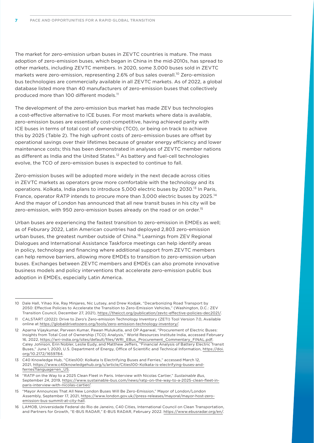The market for zero-emission urban buses in ZEVTC countries is mature. The mass adoption of zero-emission buses, which began in China in the mid-2010s, has spread to other markets, including ZEVTC members. In 2020, some 3,000 buses sold in ZEVTC markets were zero-emission, representing 2.6% of bus sales overall.<sup>10</sup> Zero-emission bus technologies are commercially available in all ZEVTC markets. As of 2022, a global database listed more than 40 manufacturers of zero-emission buses that collectively produced more than 100 different models.<sup>11</sup>

The development of the zero-emission bus market has made ZEV bus technologies a cost-effective alternative to ICE buses. For most markets where data is available, zero-emission buses are essentially cost-competitive, having achieved parity with ICE buses in terms of total cost of ownership (TCO), or being on track to achieve this by 2025 (Table 2). The high upfront costs of zero-emission buses are offset by operational savings over their lifetimes because of greater energy efficiency and lower maintenance costs; this has been demonstrated in analyses of ZEVTC member nations as different as India and the United States.<sup>12</sup> As battery and fuel-cell technologies evolve, the TCO of zero-emission buses is expected to continue to fall.

Zero-emission buses will be adopted more widely in the next decade across cities in ZEVTC markets as operators grow more comfortable with the technology and its operations. Kolkata, India plans to introduce 5,000 electric buses by 2030.<sup>13</sup> In Paris, France, operator RATP intends to procure more than 3,000 electric buses by 2025.<sup>14</sup> And the mayor of London has announced that all new transit buses in his city will be zero-emission, with 950 zero-emission buses already on the road or on order.<sup>15</sup>

Urban buses are experiencing the fastest transition to zero-emission in EMDEs as well; as of Feburary 2022, Latin American countries had deployed 2,803 zero-emission urban buses, the greatest number outside of China.<sup>16</sup> Learnings from ZEV Regional Dialogues and International Assistance Taskforce meetings can help identify areas in policy, technology and financing where additional support from ZEVTC members can help remove barriers, allowing more EMDEs to transition to zero-emission urban buses. Exchanges between ZEVTC members and EMDEs can also promote innovative business models and policy interventions that accelerate zero-emission public bus adoption in EMDEs, especially Latin America.

<sup>10</sup> Dale Hall, Yihao Xie, Ray Minjares, Nic Lutsey, and Drew Kodjak, "Decarbonizing Road Transport by 2050: Effective Policies to Accelerate the Transition to Zero-Emission Vehicles," (Washington, D.C.: ZEV Transition Council, December 27, 2021), [https://theicct.org/publication/zevtc-effective-policies-dec2021/.](https://theicct.org/publication/zevtc-effective-policies-dec2021/)

<sup>11</sup> CALSTART (2022): Drive to Zero's Zero-emission Technology Inventory (ZETI) Tool Version 7.0, Available online at [https://globaldrivetozero.org/tools/zero-emission-technology-inventory/.](https://globaldrivetozero.org/tools/zero-emission-technology-inventory/)

<sup>12</sup> Aparna Vijaykumar, Parveen Kumar, Pawan Mulukutla, and OP Agarwal, "Procurement of Electric Buses: Insights from Total Cost of Ownership (TCO) Analysis," World Resources Institute India, accessed February 16, 2022, [https://wri-india.org/sites/default/files/WRI\\_EBus\\_Procurement\\_Commentary\\_FINAL.pdf;](https://wri-india.org/sites/default/files/WRI_EBus_Procurement_Commentary_FINAL.pdf) Caley Johnson, Erin Nobler, Leslie Eudy, and Matthew Jeffers, "Financial Analysis of Battery Electric Transit Buses," June 1, 2020, U.S. Department of Energy, Office of Scientific and Technical Information, [https://doi.](https://doi.org/10.2172/1659784) [org/10.2172/1659784.](https://doi.org/10.2172/1659784)

<sup>13</sup> C40 Knowledge Hub, "Cities100: Kolkata Is Electrifying Buses and Ferries," accessed March 12, 2021, [https://www.c40knowledgehub.org/s/article/Cities100-Kolkata-is-electrifying-buses-and](https://www.c40knowledgehub.org/s/article/Cities100-Kolkata-is-electrifying-buses-and-ferries?language=en_US)[ferries?language=en\\_US.](https://www.c40knowledgehub.org/s/article/Cities100-Kolkata-is-electrifying-buses-and-ferries?language=en_US)

<sup>14</sup> "RATP on the Way to a 2025 Clean Fleet in Paris. Interview with Nicolas Cartier," *Sustainable Bus*, September 24, 2019, [https://www.sustainable-bus.com/news/ratp-on-the-way-to-a-2025-clean-fleet-in](https://www.sustainable-bus.com/news/ratp-on-the-way-to-a-2025-clean-fleet-in-paris-interview-with-nicolas-cartier/)[paris-interview-with-nicolas-cartier/](https://www.sustainable-bus.com/news/ratp-on-the-way-to-a-2025-clean-fleet-in-paris-interview-with-nicolas-cartier/).

<sup>15</sup> "Mayor Announces That All New London Buses Will Be Zero-Emission," Mayor of London/London Assembly, September 17, 2021, [https://www.london.gov.uk//press-releases/mayoral/mayor-host-zero](https://www.london.gov.uk//press-releases/mayoral/mayor-host-zero-emission-bus-summit-at-city-hall)[emission-bus-summit-at-city-hall.](https://www.london.gov.uk//press-releases/mayoral/mayor-host-zero-emission-bus-summit-at-city-hall)

<sup>16</sup> LAMOB, Universidade Federal do Rio de Janeiro, C40 Cities, International Council on Clean Transportation, and Partners for Growth, "E-BUS RADAR," E-BUS RADAR, February 2022. [https://www.ebusradar.org/en/.](https://www.ebusradar.org/en/)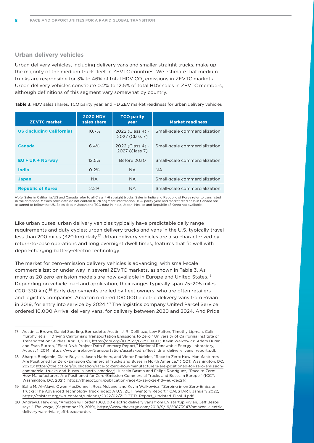#### **Urban delivery vehicles**

Urban delivery vehicles, including delivery vans and smaller straight trucks, make up the majority of the medium truck fleet in ZEVTC countries. We estimate that medium trucks are responsible for 3% to 46% of total HDV CO<sub>2</sub> emissions in ZEVTC markets. Urban delivery vehicles constitute 0.2% to 12.5% of total HDV sales in ZEVTC members, although definitions of this segment vary somewhat by country.

**Table 3.** HDV sales shares, TCO parity year, and HD ZEV market readiness for urban delivery vehicles

| <b>ZEVTC market</b>              | <b>2020 HDV</b><br>sales share | <b>TCO parity</b><br>year          | <b>Market readiness</b>       |
|----------------------------------|--------------------------------|------------------------------------|-------------------------------|
| <b>US (including California)</b> | 10.7%                          | 2022 (Class 4) -<br>2027 (Class 7) | Small-scale commercialization |
| Canada                           | 6.4%                           | 2022 (Class 4) -<br>2027 (Class 7) | Small-scale commercialization |
| <b>EU + UK + Norway</b>          | 12.5%                          | Before 2030                        | Small-scale commercialization |
| India                            | 0.2%                           | <b>NA</b>                          | <b>NA</b>                     |
| <b>Japan</b>                     | <b>NA</b>                      | <b>NA</b>                          | Small-scale commercialization |
| <b>Republic of Korea</b>         | $2.2\%$                        | <b>NA</b>                          | Small-scale commercialization |

*Note:* Sales in California/US and Canada refer to all Class 4-6 straight trucks. Sales in India and Republic of Korea refer to vans listed in the database. Mexico sales data do not contain truck segment information. TCO parity year and market readiness in Canada are assumed to follow the US. Sales data in Japan and TCO data in India, Japan, Mexico and Republic of Korea not available.

Like urban buses, urban delivery vehicles typically have predictable daily range requirements and duty cycles; urban delivery trucks and vans in the U.S. typically travel less than 200 miles (320 km) daily.<sup>17</sup> Urban delivery vehicles are also characterized by return-to-base operations and long overnight dwell times, features that fit well with depot-charging battery-electric technology.

The market for zero-emission delivery vehicles is advancing, with small-scale commercialization under way in several ZEVTC markets, as shown in Table 3. As many as 20 zero-emission models are now available in Europe and United States.<sup>18</sup> Depending on vehicle load and application, their ranges typically span 75–205 miles (120–330 km).19 Early deployments are led by fleet owners, who are often retailers and logistics companies. Amazon ordered 100,000 electric delivery vans from Rivian in 2019, for entry into service by 2024.<sup>20</sup> The logistics company United Parcel Service ordered 10,000 Arrival delivery vans, for delivery between 2020 and 2024. And Pride

<sup>17</sup> Austin L. Brown, Daniel Sperling, Bernadette Austin, J. R. DeShazo, Lew Fulton, Timothy Lipman, Colin Murphy, et al., "Driving California's Transportation Emissions to Zero," University of California Institute of Transportation Studies, April 1, 2021,<https://doi.org/10.7922/G2MC8X9X>; Kevin Walkowicz, Adam Duran, and Evan Burton, "Fleet DNA Project Data Summary Report," National Renewable Energy Laboratory, August 1, 2014, [https://www.nrel.gov/transportation/assets/pdfs/fleet\\_dna\\_delivery\\_vans\\_report.pdf](https://www.nrel.gov/transportation/assets/pdfs/fleet_dna_delivery_vans_report.pdf).

<sup>18</sup> Sharpe, Benjamin, Claire Buysse, Jason Mathers, and Victor Poudelet, "Race to Zero: How Manufacturers Are Positioned for Zero-Emission Commercial Trucks and Buses in North America," (ICCT: Washington, DC, 2020): [https://theicct.org/publication/race-to-zero-how-manufacturers-are-positioned-for-zero-emission](https://theicct.org/publication/race-to-zero-how-manufacturers-are-positioned-for-zero-emission-commercial-trucks-and-buses-in-north-america/)[commercial-trucks-and-buses-in-north-america/;](https://theicct.org/publication/race-to-zero-how-manufacturers-are-positioned-for-zero-emission-commercial-trucks-and-buses-in-north-america/) Hussein Basma and Felipe Rodríguez, "Race to Zero: How Manufacturers Are Positioned for Zero-Emission Commercial Trucks and Buses in Europe," (ICCT: Washington, DC, 2021). [https://theicct.org/publication/race-to-zero-ze-hdv-eu-dec21/.](https://theicct.org/publication/race-to-zero-ze-hdv-eu-dec21/)

<sup>19</sup> Baha M. Al-Alawi, Owen MacDonnell, Ross McLane, and Kevin Walkowicz, "Zeroing in on Zero-Emission Trucks: The Advanced Technology Truck Index: A U.S. ZET Inventory Report," CALSTART, January 2022, [https://calstart.org/wp-content/uploads/2022/02/ZIO-ZETs-Report\\_Updated-Final-II.pdf](https://calstart.org/wp-content/uploads/2022/02/ZIO-ZETs-Report_Updated-Final-II.pdf).

<sup>20</sup> AndrewJ. Hawkins, "Amazon will order 100,000 electric delivery vans from EV startup Rivian, Jeff Bezos says," *The Verge*, (September 19, 2019), [https://www.theverge.com/2019/9/19/20873947/amazon-electric](https://www.theverge.com/2019/9/19/20873947/amazon-electric-delivery-van-rivian-jeff-bezos-order)[delivery-van-rivian-jeff-bezos-order.](https://www.theverge.com/2019/9/19/20873947/amazon-electric-delivery-van-rivian-jeff-bezos-order)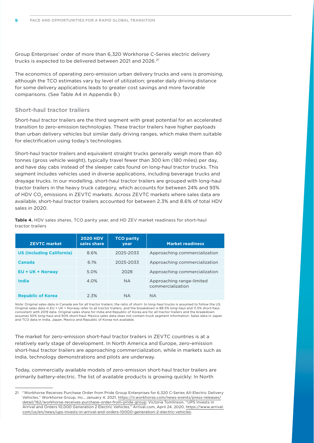Group Enterprises' order of more than 6,320 Workhorse C-Series electric delivery trucks is expected to be delivered between 2021 and 2026.<sup>21</sup>

The economics of operating zero-emission urban delivery trucks and vans is promising, although the TCO estimates vary by level of utilization; greater daily driving distance for some delivery applications leads to greater cost savings and more favorable comparisons. (See Table A4 in Appendix B.)

#### **Short-haul tractor trailers**

Short-haul tractor trailers are the third segment with great potential for an accelerated transition to zero-emission technologies. These tractor trailers have higher payloads than urban delivery vehicles but similar daily driving ranges, which make them suitable for electrification using today's technologies.

Short-haul tractor trailers and equivalent straight trucks generally weigh more than 40 tonnes (gross vehicle weight), typically travel fewer than 300 km (180 miles) per day, and have day cabs instead of the sleeper cabs found on long-haul tractor trucks. This segment includes vehicles used in diverse applications, including beverage trucks and drayage trucks. In our modelling, short-haul tractor trailers are grouped with long-haul tractor trailers in the heavy truck category, which accounts for between 24% and 93% of HDV CO<sub>2</sub> emissions in ZEVTC markets. Across ZEVTC markets where sales data are available, short-haul tractor trailers accounted for between 2.3% and 8.6% of total HDV sales in 2020.

**Table 4.** HDV sales shares, TCO parity year, and HD ZEV market readiness for short-haul tractor trailers

| <b>ZEVTC market</b>              | <b>2020 HDV</b><br>sales share | <b>TCO parity</b><br>year | <b>Market readiness</b>                        |
|----------------------------------|--------------------------------|---------------------------|------------------------------------------------|
| <b>US (including California)</b> | 8.6%                           | 2025-2033                 | Approaching commercialization                  |
| Canada                           | 6.1%                           | 2025-2033                 | Approaching commercialization                  |
| <b>EU + UK + Norway</b>          | 5.0%                           | 2028                      | Approaching commercialization                  |
| India                            | 4.0%                           | <b>NA</b>                 | Approaching range-limited<br>commercialization |
| <b>Republic of Korea</b>         | 2.3%                           | <b>NA</b>                 | <b>NA</b>                                      |

*Note:* Original sales data in Canada are for all tractor trailers; the ratio of short- to long-haul trucks is assumed to follow the US. Original sales data in EU + UK + Norway refer to all tractor trailers, and the breakdown is 88.5% long-haul and 11.5% short-haul, consistent with 2019 data. Original sales share for India and Republic of Korea are for all tractor trailers and the breakdown assumes 50% long-haul and 50% short-haul. Mexico sales data does not contain truck segment information. Sales data in Japan and TCO data in India, Japan, Mexico and Republic of Korea not available.

The market for zero-emission short-haul tractor trailers in ZEVTC countries is at a relatively early stage of development. In North America and Europe, zero-emission short-haul tractor trailers are approaching commercialization, while in markets such as India, technology demonstrations and pilots are underway.

Today, commercially available models of zero-emission short-haul tractor trailers are primarily battery-electric. The list of available products is growing quickly: In North

<sup>21</sup> "Workhorse Receives Purchase Order from Pride Group Enterprises for 6,320 C-Series All-Electric Delivery Vehicles," Workhorse Group, Inc., January 4, 2021, [https://ir.workhorse.com/news-events/press-releases/](https://ir.workhorse.com/news-events/press-releases/detail/162/workhorse-receives-purchase-order-from-pride-group) [detail/162/workhorse-receives-purchase-order-from-pride-group](https://ir.workhorse.com/news-events/press-releases/detail/162/workhorse-receives-purchase-order-from-pride-group); Victoria Tomlinson, "UPS Invests in Arrival and Orders 10,000 Generation 2 Electric Vehicles," Arrival.com, April 24, 2020, [https://www.arrival.](https://www.arrival.com/us/en/news/ups-invests-in-arrival-and-orders-10000-generation-2-electric-vehicles) [com/us/en/news/ups-invests-in-arrival-and-orders-10000-generation-2-electric-vehicles](https://www.arrival.com/us/en/news/ups-invests-in-arrival-and-orders-10000-generation-2-electric-vehicles).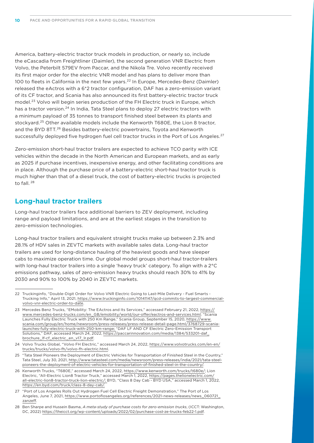America, battery-electric tractor truck models in production, or nearly so, include the eCascadia from Freightliner (Daimler), the second generation VNR Electric from Volvo, the Peterbilt 579EV from Paccar, and the Nikola Tre. Volvo recently received its first major order for the electric VNR model and has plans to deliver more than 100 to fleets in California in the next few years.<sup>22</sup> In Europe, Mercedes-Benz (Daimler) released the eActros with a 6\*2 tractor configuration, DAF has a zero-emission variant of its CF tractor, and Scania has also announced its first battery-electric tractor truck model.23 Volvo will begin series production of the FH Electric truck in Europe, which has a tractor version.<sup>24</sup> In India, Tata Steel plans to deploy 27 electric tractors with a minimum payload of 35 tonnes to transport finished steel between its plants and stockyard.25 Other available models include the Kenworth T680E, the Lion 8 tractor, and the BYD 8TT.26 Besides battery-electric powertrains, Toyota and Kenworth successfully deployed five hydrogen fuel cell tractor trucks in the Port of Los Angeles.<sup>27</sup>

Zero-emission short-haul tractor trailers are expected to achieve TCO parity with ICE vehicles within the decade in the North American and European markets, and as early as 2025 if purchase incentives, inexpensive energy, and other facilitating conditions are in place. Although the purchase price of a battery-electric short-haul tractor truck is much higher than that of a diesel truck, the cost of battery-electric trucks is projected to fall. <sup>28</sup>

## **Long-haul tractor trailers**

Long-haul tractor trailers face additional barriers to ZEV deployment, including range and payload limitations, and are at the earliest stages in the transition to zero-emission technologies.

Long-haul tractor trailers and equivalent straight trucks make up between 2.3% and 28.1% of HDV sales in ZEVTC markets with available sales data. Long-haul tractor trailers are used for long-distance hauling of the heaviest goods and have sleeper cabs to maximize operation time. Our global model groups short-haul tractor-trailers with long-haul tractor trailers into a single 'heavy truck' category. To align with a 2°C emissions pathway, sales of zero-emission heavy trucks should reach 30% to 41% by 2030 and 90% to 100% by 2040 in ZEVTC markets.

<sup>22</sup> Truckinginfo, "Double-Digit Order for Volvo VNR Electric Going to Last-Mile Delivery - Fuel Smarts - Trucking Info," April 13, 2021, [https://www.truckinginfo.com/10141147/qcd-commits-to-largest-commercial](https://www.truckinginfo.com/10141147/qcd-commits-to-largest-commercial-volvo-vnr-electric-order-to-date)[volvo-vnr-electric-order-to-date.](https://www.truckinginfo.com/10141147/qcd-commits-to-largest-commercial-volvo-vnr-electric-order-to-date)

<sup>23</sup> Mercedes Benz Trucks, "EMobility: The EActros and Its Services," accessed February 21, 2022, [https://](https://www.mercedes-benz-trucks.com/en_GB/emobility/world/our-offer/eactros-and-services.html) [www.mercedes-benz-trucks.com/en\\_GB/emobility/world/our-offer/eactros-and-services.html;](https://www.mercedes-benz-trucks.com/en_GB/emobility/world/our-offer/eactros-and-services.html) "Scania Launches Fully Electric Truck with 250 Km Range," Scania Group, September 15, 2020, [https://www.](https://www.scania.com/group/en/home/newsroom/press-releases/press-release-detail-page.html/3768729-scania-launches-fully-electric-truck-with-250-km-range) [scania.com/group/en/home/newsroom/press-releases/press-release-detail-page.html/3768729-scania](https://www.scania.com/group/en/home/newsroom/press-releases/press-release-detail-page.html/3768729-scania-launches-fully-electric-truck-with-250-km-range)[launches-fully-electric-truck-with-250-km-range](https://www.scania.com/group/en/home/newsroom/press-releases/press-release-detail-page.html/3768729-scania-launches-fully-electric-truck-with-250-km-range); "DAF LF AND CF Electric Zero-Emission Transport Solutions," DAF, accessed March 24, 2022, [https://paccarinnovation.com/media/1384/533201-daf\\_](https://paccarinnovation.com/media/1384/533201-daf_brochure_lf-cf_electric_en_v17_lr.pdf) [brochure\\_lf-cf\\_electric\\_en\\_v17\\_lr.pdf](https://paccarinnovation.com/media/1384/533201-daf_brochure_lf-cf_electric_en_v17_lr.pdf).

<sup>24</sup> Volvo Trucks Global, "Volvo FH Electric," accessed March 24, 2022, [https://www.volvotrucks.com/en-en/](https://www.volvotrucks.com/en-en/trucks/trucks/volvo-fh/volvo-fh-electric.html) [trucks/trucks/volvo-fh/volvo-fh-electric.html](https://www.volvotrucks.com/en-en/trucks/trucks/volvo-fh/volvo-fh-electric.html).

<sup>25</sup> "Tata Steel Pioneers the Deployment of Electric Vehicles for Transportation of Finished Steel in the Country," Tata Steel, July 30, 2021, [http://www.tatasteel.com/media/newsroom/press-releases/india/2021/tata-steel](http://www.tatasteel.com/media/newsroom/press-releases/india/2021/tata-steel-pioneers-the-deployment-of-electric-vehicles-for-transportation-of-finished-steel-in-the-country/)[pioneers-the-deployment-of-electric-vehicles-for-transportation-of-finished-steel-in-the-country/.](http://www.tatasteel.com/media/newsroom/press-releases/india/2021/tata-steel-pioneers-the-deployment-of-electric-vehicles-for-transportation-of-finished-steel-in-the-country/)

<sup>26</sup> Kenworth Trucks, "T680E," accessed March 24, 2022, [https://www.kenworth.com/trucks/t680e/;](https://www.kenworth.com/trucks/t680e/) Lion Electric, "All-Electric Lion8 Tractor Truck," accessed March 1, 2022, [https://pages.thelionelectric.com/](https://pages.thelionelectric.com/all-electric-lion8-tractor-truck-lion-electric/) [all-electric-lion8-tractor-truck-lion-electric/](https://pages.thelionelectric.com/all-electric-lion8-tractor-truck-lion-electric/); BYD, "Class 8 Day Cab - BYD USA," accessed March 1, 2022, <https://en.byd.com/truck/class-8-day-cab/>.

<sup>27</sup> "Port of Los Angeles Rolls Out Hydrogen Fuel Cell Electric Freight Demonstration," The Port of Los Angeles, June 7, 2021, [https://www.portoflosangeles.org/references/2021-news-releases/news\\_060721\\_](https://www.portoflosangeles.org/references/2021-news-releases/news_060721_zanzeff) [zanzeff](https://www.portoflosangeles.org/references/2021-news-releases/news_060721_zanzeff).

<sup>28</sup> Ben Sharpe and Hussein Basma, *A meta-study of purchase costs for zero-emission trucks*, (ICCT: Washington, DC, 2022)<https://theicct.org/wp-content/uploads/2022/02/purchase-cost-ze-trucks-feb22-1.pdf>.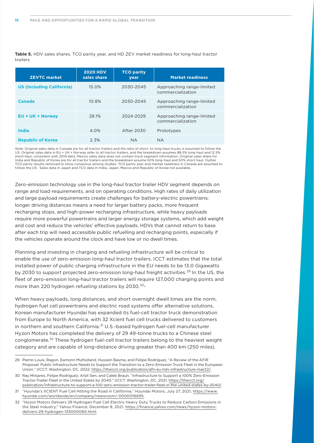| <b>ZEVTC market</b>              | <b>2020 HDV</b><br>sales share | <b>TCO parity</b><br>year | <b>Market readiness</b>                        |
|----------------------------------|--------------------------------|---------------------------|------------------------------------------------|
| <b>US (including California)</b> | $15.0\%$                       | 2030-2045                 | Approaching range-limited<br>commercialization |
| Canada                           | 10.8%                          | 2030-2045                 | Approaching range-limited<br>commercialization |
| <b>EU + UK + Norway</b>          | 28.1%                          | 2024-2029                 | Approaching range-limited<br>commercialization |
| India                            | 4.0%                           | After 2030                | Prototypes                                     |
| <b>Republic of Korea</b>         | 2.3%                           | <b>NA</b>                 | <b>NA</b>                                      |

**Table 5.** HDV sales shares, TCO parity year, and HD ZEV market readiness for long-haul tractor trailers

*Note:* Original sales data in Canada are for all tractor trailers and the ratio of short- to long-haul trucks is assumed to follow the US. Original sales data in EU + UK + Norway refer to all tractor trailers, and the breakdown assumes 88.5% long-haul and 12.5% short-haul, consistent with 2019 data. Mexico sales data does not contain truck segment information. Original sales share for India and Republic of Korea are for all tractor trailers and the breakdown assume 50% long-haul and 50% short-haul. Outlier TCO parity results removed to show consensus among studies. TCO parity year and market readiness in Canada are assumed to follow the US. Sales data in Japan and TCO data in India, Japan, Mexico and Republic of Korea not available.

Zero-emission technology use in the long-haul tractor trailer HDV segment depends on range and load requirements, and on operating conditions. High rates of daily utilization and large payload requirements create challenges for battery-electric powertrains: longer driving distances means a need for larger battery packs, more frequent recharging stops, and high-power recharging infrastructure, while heavy payloads require more powerful powertrains and larger energy storage systems, which add weight and cost and reduce the vehicles' effective payloads. HDVs that cannot return to base after each trip will need accessible public refuelling and recharging points, especially if the vehicles operate around the clock and have low or no dwell times.

Planning and investing in charging and refueling infrastructure will be critical to enable the use of zero-emission long-haul tractor trailers. ICCT estimates that the total installed power of public charging infrastructure in the EU needs to be 13.0 Gigawatts by 2030 to support projected zero-emission long-haul freight activities.29 In the US, the fleet of zero-emission long-haul tractor trailers will require 127,000 charging points and more than 220 hydrogen refueling stations by 2030.<sup>30</sup>-

When heavy payloads, long distances, and short overnight dwell times are the norm, hydrogen fuel cell powertrains and electric road systems offer alternative solutions. Korean manufacturer Hyundai has expanded its fuel-cell tractor truck demonstration from Europe to North America, with 32 Xcient fuel cell trucks delivered to customers in northern and southern California.<sup>31</sup> U.S.-based hydrogen fuel-cell manufacturer Hyzon Motors has completed the delivery of 29 49-tonne trucks to a Chinese steel conglomerate.32 These hydrogen fuel-cell tractor trailers belong to the heaviest weight category and are capable of long-distance driving greater than 400 km (250 miles).

<sup>29</sup> Pierre-Louis, Ragon, Eamonn Mulholland, Hussein Basma, and Felipe Rodríguez, "A Review of the AFIR Proposal: Public Infrastructure Needs to Support the Transition to a Zero-Emission Truck Fleet in the European Union," (ICCT: Washington, DC, 2022. <https://theicct.org/publication/afir-eu-hdv-infrastructure-mar22/>.

<sup>30</sup> Ray Minjares, Felipe Rodríguez, Arijit Sen, and Caleb Braun, "Infrastructure to Support a 100% Zero-Emission Tractor-Trailer Fleet in the United States by 2040," (ICCT: Washington, DC, 2021, [https://theicct.org/](https://theicct.org/publication/infrastructure-to-support-a-100-zero-emission-tractor-trailer-fleet-in-the-united-states-by-2040/) [publication/infrastructure-to-support-a-100-zero-emission-tractor-trailer-fleet-in-the-united-states-by-2040/](https://theicct.org/publication/infrastructure-to-support-a-100-zero-emission-tractor-trailer-fleet-in-the-united-states-by-2040/).

<sup>31</sup> "Hyundai's XCIENT Fuel Cell Hitting the Road in California," Hyundai Motors, July 27, 2021, [https://www.](https://www.hyundai.com/worldwide/en/company/newsroom/-0000016695) [hyundai.com/worldwide/en/company/newsroom/-0000016695.](https://www.hyundai.com/worldwide/en/company/newsroom/-0000016695)

<sup>32</sup> "Hyzon Motors Delivers 29 Hydrogen Fuel Cell Electric Heavy Duty Trucks to Reduce Carbon Emissions in the Steel Industry," Yahoo Finance, December 8, 2021, [https://finance.yahoo.com/news/hyzon-motors](https://finance.yahoo.com/news/hyzon-motors-delivers-29-hydrogen-133000065.html)[delivers-29-hydrogen-133000065.html.](https://finance.yahoo.com/news/hyzon-motors-delivers-29-hydrogen-133000065.html)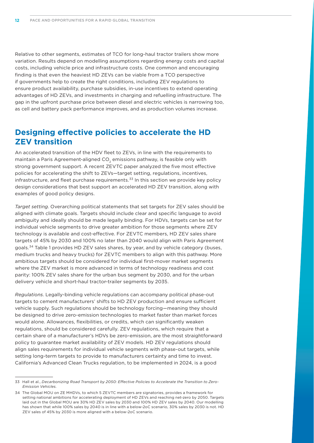Relative to other segments, estimates of TCO for long-haul tractor trailers show more variation. Results depend on modelling assumptions regarding energy costs and capital costs, including vehicle price and infrastructure costs. One common and encouraging finding is that even the heaviest HD ZEVs can be viable from a TCO perspective if governments help to create the right conditions, including ZEV regulations to ensure product availability, purchase subsidies, in-use incentives to extend operating advantages of HD ZEVs, and investments in charging and refuelling infrastructure. The gap in the upfront purchase price between diesel and electric vehicles is narrowing too, as cell and battery pack performance improves, and as production volumes increase.

# **Designing effective policies to accelerate the HD ZEV transition**

An accelerated transition of the HDV fleet to ZEVs, in line with the requirements to maintain a Paris Agreement-aligned CO<sub>2</sub> emissions pathway, is feasible only with strong government support. A recent ZEVTC paper analyzed the five most effective policies for accelerating the shift to ZEVs—target setting, regulations, incentives, infrastructure, and fleet purchase requirements. $33$  In this section we provide key policy design considerations that best support an accelerated HD ZEV transition, along with examples of good policy designs.

*Target setting*. Overarching political statements that set targets for ZEV sales should be aligned with climate goals. Targets should include clear and specific language to avoid ambiguity and ideally should be made legally binding. For HDVs, targets can be set for individual vehicle segments to drive greater ambition for those segments where ZEV technology is available and cost-effective. For ZEVTC members, HD ZEV sales share targets of 45% by 2030 and 100% no later than 2040 would align with Paris Agreement goals.<sup>34</sup> Table 1 provides HD ZEV sales shares, by year, and by vehicle category (buses, medium trucks and heavy trucks) for ZEVTC members to align with this pathway. More ambitious targets should be considered for individual first-mover market segments where the ZEV market is more advanced in terms of technology readiness and cost parity: 100% ZEV sales share for the urban bus segment by 2030, and for the urban delivery vehicle and short-haul tractor-trailer segments by 2035.

*Regulations*. Legally-binding vehicle regulations can accompany political phase-out targets to cement manufacturers' shifts to HD ZEV production and ensure sufficient vehicle supply. Such regulations should be technology forcing—meaning they should be designed to drive zero-emission technologies to market faster than market forces would alone. Allowances, flexibilities, or credits, which can significantly weaken regulations, should be considered carefully. ZEV regulations, which require that a certain share of a manufacturer's HDVs be zero-emission, are the most straightforward policy to guarantee market availability of ZEV models. HD ZEV regulations should align sales requirements for individual vehicle segments with phase-out targets, while setting long-term targets to provide to manufacturers certainty and time to invest. California's Advanced Clean Trucks regulation, to be implemented in 2024, is a good

<sup>33</sup> Hall et al., *Decarbonizing Road Transport by 2050: Effective Policies to Accelerate the Transition to Zero-Emission Vehicles*.

<sup>34</sup> The Global MOU on ZE MHDVs, to which 5 ZEVTC members are signatories, provides a framework for setting national ambitions for accelerating deployment of HD ZEVs and reaching net-zero by 2050. Targets laid out in the Global MOU are 30% HD ZEV sales by 2030 and 100% HD ZEV sales by 2040. Our modelling has shown that while 100% sales by 2040 is in line with a below-2oC scenario, 30% sales by 2030 is not. HD ZEV sales of 45% by 2030 is more aligned with a below-2oC scenario.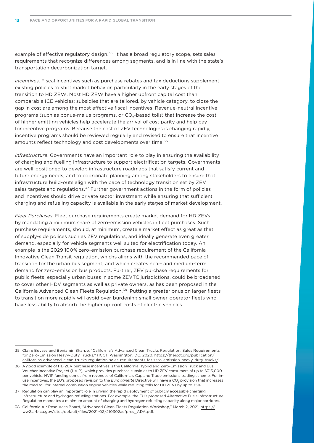example of effective regulatory design.<sup>35</sup> It has a broad regulatory scope, sets sales requirements that recognize differences among segments, and is in line with the state's transportation decarbonization target.

*Incentives*. Fiscal incentives such as purchase rebates and tax deductions supplement existing policies to shift market behavior, particularly in the early stages of the transition to HD ZEVs. Most HD ZEVs have a higher upfront capital cost than comparable ICE vehicles; subsidies that are tailored, by vehicle category, to close the gap in cost are among the most effective fiscal incentives. Revenue-neutral incentive programs (such as bonus-malus programs, or CO<sub>2</sub>-based tolls) that increase the cost of higher emitting vehicles help accelerate the arrival of cost parity and help pay for incentive programs. Because the cost of ZEV technologies is changing rapidly, incentive programs should be reviewed regularly and revised to ensure that incentive amounts reflect technology and cost developments over time.<sup>36</sup>

*Infrastructure*. Governments have an important role to play in ensuring the availability of charging and fuelling infrastructure to support electrification targets. Governments are well-positioned to develop infrastructure roadmaps that satisfy current and future energy needs, and to coordinate planning among stakeholders to ensure that infrastructure build-outs align with the pace of technology transition set by ZEV sales targets and regulations. $37$  Further government actions in the form of policies and incentives should drive private sector investment while ensuring that sufficient charging and refueling capacity is available in the early stages of market development.

*Fleet Purchases*. Fleet purchase requirements create market demand for HD ZEVs by mandating a minimum share of zero-emission vehicles in fleet purchases. Such purchase requirements, should, at minimum, create a market effect as great as that of supply-side polices such as ZEV regulations, and ideally generate even greater demand, especially for vehicle segments well suited for electrification today. An example is the 2029 100% zero-emission purchase requirement of the California Innovative Clean Transit regulation, whichs aligns with the recommended pace of transition for the urban bus segment, and which creates near- and medium-term demand for zero-emission bus products. Further, ZEV purchase requirements for public fleets, especially urban buses in some ZEVTC jurisdictions, could be broadened to cover other HDV segments as well as private owners, as has been proposed in the California Advanced Clean Fleets Regulation.38 Putting a greater onus on larger fleets to transition more rapidly will avoid over-burdening small owner-operator fleets who have less ability to absorb the higher upfront costs of electric vehicles.

<sup>35</sup> Claire Buysse and Benjamin Sharpe, "California's Advanced Clean Trucks Regulation: Sales Requirements for Zero-Emission Heavy-Duty Trucks," (ICCT: Washington, DC, 2020, [https://theicct.org/publication/](https://theicct.org/publication/californias-advanced-clean-trucks-regulation-sales-requirements-for-zero-emission-heavy-duty-trucks/) [californias-advanced-clean-trucks-regulation-sales-requirements-for-zero-emission-heavy-duty-trucks/](https://theicct.org/publication/californias-advanced-clean-trucks-regulation-sales-requirements-for-zero-emission-heavy-duty-trucks/).

<sup>36</sup> A good example of HD ZEV purchase incentives is the California Hybrid and Zero-Emission Truck and Bus Voucher Incentive Project (HVIP), which provides purchase subsidies to HD ZEV consumers of up to \$315,000 per vehicle. HVIP funding comes from revenues of California's Cap and Trade emissions trading scheme. For inuse incentives, the EU's proposed revision to the *Eurovignette* Directive will have a CO<sub>2</sub> provision that increases the road toll for internal combustion engine vehicles while reducing tolls for HD ZEVs by up to 75%.

<sup>37</sup> Regulation can play an important role in driving the rapid deployment of publicly accessible charging infrastructure and hydrogen refueling stations. For example, the EU's proposed Alternative Fuels Infrastructure Regulation mandates a minimum amount of charging and hydrogen refueling capacity along major corridors.

<sup>38</sup> California Air Resources Board, "Advanced Clean Fleets Regulation Workshop," March 2, 2021, [https://](https://ww2.arb.ca.gov/sites/default/files/2021-02/210302acfpres_ADA.pdf) [ww2.arb.ca.gov/sites/default/files/2021-02/210302acfpres\\_ADA.pdf.](https://ww2.arb.ca.gov/sites/default/files/2021-02/210302acfpres_ADA.pdf)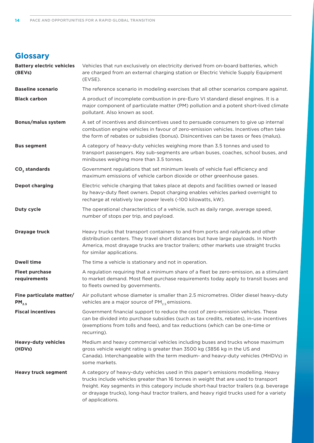# **Glossary**

| <b>Battery electric vehicles</b><br>(BEVs) | Vehicles that run exclusively on electricity derived from on-board batteries, which<br>are charged from an external charging station or Electric Vehicle Supply Equipment<br>(EVSE).                                                                                                                                                                                                   |
|--------------------------------------------|----------------------------------------------------------------------------------------------------------------------------------------------------------------------------------------------------------------------------------------------------------------------------------------------------------------------------------------------------------------------------------------|
| <b>Baseline scenario</b>                   | The reference scenario in modeling exercises that all other scenarios compare against.                                                                                                                                                                                                                                                                                                 |
| <b>Black carbon</b>                        | A product of incomplete combustion in pre-Euro VI standard diesel engines. It is a<br>major component of particulate matter (PM) pollution and a potent short-lived climate<br>pollutant. Also known as soot.                                                                                                                                                                          |
| <b>Bonus/malus system</b>                  | A set of incentives and disincentives used to persuade consumers to give up internal<br>combustion engine vehicles in favour of zero-emission vehicles. Incentives often take<br>the form of rebates or subsidies (bonus). Disincentives can be taxes or fees (malus).                                                                                                                 |
| <b>Bus segment</b>                         | A category of heavy-duty vehicles weighing more than 3.5 tonnes and used to<br>transport passengers. Key sub-segments are urban buses, coaches, school buses, and<br>minibuses weighing more than 3.5 tonnes.                                                                                                                                                                          |
| CO <sub>2</sub> standards                  | Government regulations that set minimum levels of vehicle fuel efficiency and<br>maximum emissions of vehicle carbon dioxide or other greenhouse gases.                                                                                                                                                                                                                                |
| <b>Depot charging</b>                      | Electric vehicle charging that takes place at depots and facilities owned or leased<br>by heavy-duty fleet owners. Depot charging enables vehicles parked overnight to<br>recharge at relatively low power levels (~100 kilowatts, kW).                                                                                                                                                |
| Duty cycle                                 | The operational characteristics of a vehicle, such as daily range, average speed,<br>number of stops per trip, and payload.                                                                                                                                                                                                                                                            |
| Drayage truck                              | Heavy trucks that transport containers to and from ports and railyards and other<br>distribution centers. They travel short distances but have large payloads. In North<br>America, most drayage trucks are tractor trailers; other markets use straight trucks<br>for similar applications.                                                                                           |
| <b>Dwell time</b>                          | The time a vehicle is stationary and not in operation.                                                                                                                                                                                                                                                                                                                                 |
| <b>Fleet purchase</b><br>requirements      | A regulation requiring that a minimum share of a fleet be zero-emission, as a stimulant<br>to market demand. Most fleet purchase requirements today apply to transit buses and<br>to fleets owned by governments.                                                                                                                                                                      |
| Fine particulate matter/<br>$PM_{2.5}$     | Air pollutant whose diameter is smaller than 2.5 micrometres. Older diesel heavy-duty<br>vehicles are a major source of $PM_{2.5}$ emissions.                                                                                                                                                                                                                                          |
| <b>Fiscal incentives</b>                   | Government financial support to reduce the cost of zero-emission vehicles. These<br>can be divided into purchase subsidies (such as tax credits, rebates), in-use incentives<br>(exemptions from tolls and fees), and tax reductions (which can be one-time or<br>recurring).                                                                                                          |
| <b>Heavy-duty vehicles</b><br>(HDVs)       | Medium and heavy commercial vehicles including buses and trucks whose maximum<br>gross vehicle weight rating is greater than 3500 kg (3856 kg in the US and<br>Canada). Interchangeable with the term medium- and heavy-duty vehicles (MHDVs) in<br>some markets.                                                                                                                      |
| <b>Heavy truck segment</b>                 | A category of heavy-duty vehicles used in this paper's emissions modelling. Heavy<br>trucks include vehicles greater than 16 tonnes in weight that are used to transport<br>freight. Key segments in this category include short-haul tractor trailers (e.g. beverage<br>or drayage trucks), long-haul tractor trailers, and heavy rigid trucks used for a variety<br>of applications. |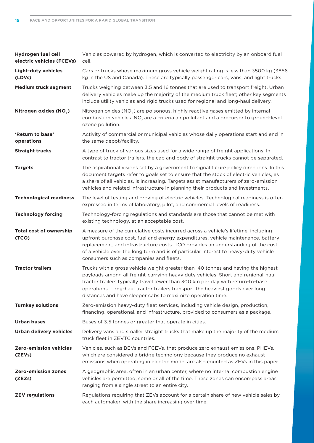| Hydrogen fuel cell<br>electric vehicles (FCEVs) | Vehicles powered by hydrogen, which is converted to electricity by an onboard fuel<br>cell.                                                                                                                                                                                                                                                                                                             |
|-------------------------------------------------|---------------------------------------------------------------------------------------------------------------------------------------------------------------------------------------------------------------------------------------------------------------------------------------------------------------------------------------------------------------------------------------------------------|
| <b>Light-duty vehicles</b><br>(LDVs)            | Cars or trucks whose maximum gross vehicle weight rating is less than 3500 kg (3856<br>kg in the US and Canada). These are typically passenger cars, vans, and light trucks.                                                                                                                                                                                                                            |
| <b>Medium truck segment</b>                     | Trucks weighing between 3.5 and 16 tonnes that are used to transport freight. Urban<br>delivery vehicles make up the majority of the medium truck fleet; other key segments<br>include utility vehicles and rigid trucks used for regional and long-haul delivery.                                                                                                                                      |
| Nitrogen oxides (NO <sub>v</sub> )              | Nitrogen oxides ( $NOx$ ) are poisonous, highly reactive gases emitted by internal<br>combustion vehicles. NO <sub>y</sub> are a criteria air pollutant and a precursor to ground-level<br>ozone pollution.                                                                                                                                                                                             |
| 'Return to base'<br>operations                  | Activity of commercial or municipal vehicles whose daily operations start and end in<br>the same depot/facility.                                                                                                                                                                                                                                                                                        |
| <b>Straight trucks</b>                          | A type of truck of various sizes used for a wide range of freight applications. In<br>contrast to tractor trailers, the cab and body of straight trucks cannot be separated.                                                                                                                                                                                                                            |
| <b>Targets</b>                                  | The aspirational visions set by a government to signal future policy directions. In this<br>document targets refer to goals set to ensure that the stock of electric vehicles, as<br>a share of all vehicles, is increasing. Targets assist manufacturers of zero-emission<br>vehicles and related infrastructure in planning their products and investments.                                           |
| <b>Technological readiness</b>                  | The level of testing and proving of electric vehicles. Technological readiness is often<br>expressed in terms of laboratory, pilot, and commercial levels of readiness.                                                                                                                                                                                                                                 |
| <b>Technology forcing</b>                       | Technology-forcing regulations and standards are those that cannot be met with<br>existing technology, at an acceptable cost.                                                                                                                                                                                                                                                                           |
|                                                 |                                                                                                                                                                                                                                                                                                                                                                                                         |
| <b>Total cost of ownership</b><br>(TCO)         | A measure of the cumulative costs incurred across a vehicle's lifetime, including<br>upfront purchase cost, fuel and energy expenditures, vehicle maintenance, battery<br>replacement, and infrastructure costs. TCO provides an understanding of the cost<br>of a vehicle over the long term and is of particular interest to heavy-duty vehicle<br>consumers such as companies and fleets.            |
| <b>Tractor trailers</b>                         | Trucks with a gross vehicle weight greater than 40 tonnes and having the highest<br>payloads among all freight-carrying heavy duty vehicles. Short and regional-haul<br>tractor trailers typically travel fewer than 300 km per day with return-to-base<br>operations. Long-haul tractor trailers transport the heaviest goods over long<br>distances and have sleeper cabs to maximize operation time. |
| <b>Turnkey solutions</b>                        | Zero-emission heavy-duty fleet services, including vehicle design, production,<br>financing, operational, and infrastructure, provided to consumers as a package.                                                                                                                                                                                                                                       |
| Urban buses                                     | Buses of 3.5 tonnes or greater that operate in cities.                                                                                                                                                                                                                                                                                                                                                  |
| <b>Urban delivery vehicles</b>                  | Delivery vans and smaller straight trucks that make up the majority of the medium<br>truck fleet in ZEVTC countries.                                                                                                                                                                                                                                                                                    |
| <b>Zero-emission vehicles</b><br>(ZEVs)         | Vehicles, such as BEVs and FCEVs, that produce zero exhaust emissions. PHEVs,<br>which are considered a bridge technology because they produce no exhaust<br>emissions when operating in electric mode, are also counted as ZEVs in this paper.                                                                                                                                                         |
| <b>Zero-emission zones</b><br>(ZEZs)            | A geographic area, often in an urban center, where no internal combustion engine<br>vehicles are permitted, some or all of the time. These zones can encompass areas<br>ranging from a single street to an entire city.                                                                                                                                                                                 |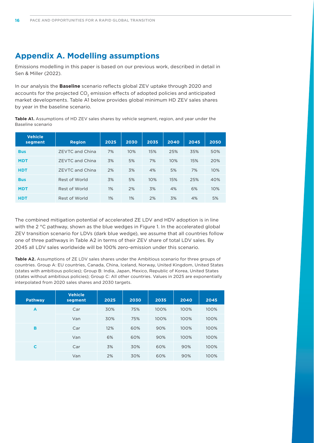# **Appendix A. Modelling assumptions**

Emissions modelling in this paper is based on our previous work, described in detail in Sen & Miller (2022).

In our analysis the **Baseline** scenario reflects global ZEV uptake through 2020 and accounts for the projected CO<sub>2</sub> emission effects of adopted policies and anticipated market developments. Table A1 below provides global minimum HD ZEV sales shares by year in the baseline scenario.

**Table A1.** Assumptions of HD ZEV sales shares by vehicle segment, region, and year under the Baseline scenario

| <b>Vehicle</b><br>segment | <b>Region</b>   | 2025 | 2030 | 2035 | 2040 | 2045 | 2050 |
|---------------------------|-----------------|------|------|------|------|------|------|
| <b>Bus</b>                | ZEVTC and China | 7%   | 10%  | 15%  | 25%  | 35%  | 50%  |
| <b>MDT</b>                | ZEVTC and China | 3%   | 5%   | 7%   | 10%  | 15%  | 20%  |
| <b>HDT</b>                | ZEVTC and China | 2%   | 3%   | 4%   | 5%   | 7%   | 10%  |
| <b>Bus</b>                | Rest of World   | 3%   | 5%   | 10%  | 15%  | 25%  | 40%  |
| <b>MDT</b>                | Rest of World   | 1%   | 2%   | 3%   | 4%   | 6%   | 10%  |
| <b>HDT</b>                | Rest of World   | 1%   | 1%   | 2%   | 3%   | 4%   | 5%   |

The combined mitigation potential of accelerated ZE LDV and HDV adoption is in line with the 2 °C pathway, shown as the blue wedges in Figure 1. In the accelerated global ZEV transition scenario for LDVs (dark blue wedge), we assume that all countries follow one of three pathways in Table A2 in terms of their ZEV share of total LDV sales. By 2045 all LDV sales worldwide will be 100% zero-emission under this scenario.

**Table A2.** Assumptions of ZE LDV sales shares under the Ambitious scenario for three groups of countries. Group A: EU countries, Canada, China, Iceland, Norway, United Kingdom, United States (states with ambitious policies); Group B: India, Japan, Mexico, Republic of Korea, United States (states without ambitious policies); Group C: All other countries. Values in 2025 are exponentially interpolated from 2020 sales shares and 2030 targets.

| <b>Pathway</b> | <b>Vehicle</b><br>segment | 2025 | 2030 | 2035 | 2040 | 2045 |
|----------------|---------------------------|------|------|------|------|------|
| A              | Car                       | 30%  | 75%  | 100% | 100% | 100% |
|                | Van                       | 30%  | 75%  | 100% | 100% | 100% |
| в              | Car                       | 12%  | 60%  | 90%  | 100% | 100% |
|                | Van                       | 6%   | 60%  | 90%  | 100% | 100% |
| C              | Car                       | 3%   | 30%  | 60%  | 90%  | 100% |
|                | Van                       | 2%   | 30%  | 60%  | 90%  | 100% |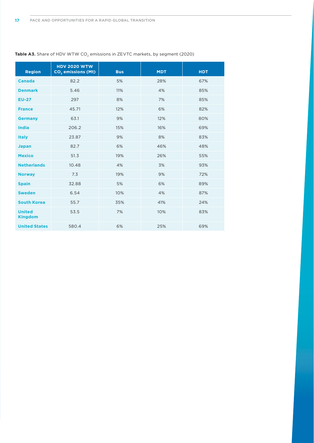| <b>Region</b>                   | <b>HDV 2020 WTW</b><br>CO <sub>2</sub> emissions (Mt) | <b>Bus</b> | <b>MDT</b> | <b>HDT</b> |
|---------------------------------|-------------------------------------------------------|------------|------------|------------|
| Canada                          | 82.2                                                  | 5%         | 28%        | 67%        |
| <b>Denmark</b>                  | 5.46                                                  | 11%        | 4%         | 85%        |
| <b>EU-27</b>                    | 297                                                   | 8%         | 7%         | 85%        |
| <b>France</b>                   | 45.71                                                 | 12%        | 6%         | 82%        |
| <b>Germany</b>                  | 63.1                                                  | 9%         | 12%        | 80%        |
| <b>India</b>                    | 206.2                                                 | 15%        | 16%        | 69%        |
| <b>Italy</b>                    | 23.87                                                 | 9%         | 8%         | 83%        |
| <b>Japan</b>                    | 82.7                                                  | 6%         | 46%        | 48%        |
| <b>Mexico</b>                   | 51.3                                                  | 19%        | 26%        | 55%        |
| <b>Netherlands</b>              | 10.48                                                 | 4%         | 3%         | 93%        |
| <b>Norway</b>                   | 7.3                                                   | 19%        | 9%         | 72%        |
| <b>Spain</b>                    | 32.88                                                 | 5%         | 6%         | 89%        |
| <b>Sweden</b>                   | 6.54                                                  | 10%        | 4%         | 87%        |
| <b>South Korea</b>              | 55.7                                                  | 35%        | 41%        | 24%        |
| <b>United</b><br><b>Kingdom</b> | 53.5                                                  | 7%         | 10%        | 83%        |
| <b>United States</b>            | 580.4                                                 | 6%         | 25%        | 69%        |

## **Table A3.** Share of HDV WTW CO<sub>2</sub> emissions in ZEVTC markets, by segment (2020)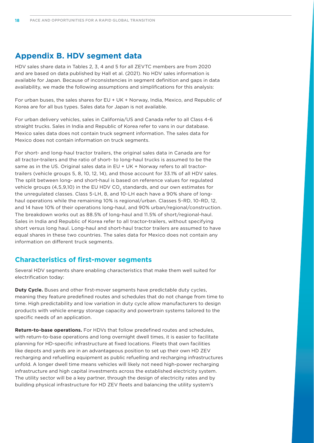## **Appendix B. HDV segment data**

HDV sales share data in Tables 2, 3, 4 and 5 for all ZEVTC members are from 2020 and are based on data published by Hall et al. (2021). No HDV sales information is available for Japan. Because of inconsistencies in segment definition and gaps in data availability, we made the following assumptions and simplifications for this analysis:

For urban buses, the sales shares for EU + UK + Norway, India, Mexico, and Republic of Korea are for all bus types. Sales data for Japan is not available.

For urban delivery vehicles, sales in California/US and Canada refer to all Class 4-6 straight trucks. Sales in India and Republic of Korea refer to vans in our database. Mexico sales data does not contain truck segment information. The sales data for Mexico does not contain information on truck segments.

For short- and long-haul tractor trailers, the original sales data in Canada are for all tractor-trailers and the ratio of short- to long-haul trucks is assumed to be the same as in the US. Original sales data in EU + UK + Norway refers to all tractortrailers (vehicle groups 5, 8, 10, 12, 14), and those account for 33.1% of all HDV sales. The split between long- and short-haul is based on reference values for regulated vehicle groups (4,5,9,10) in the EU HDV CO<sub>2</sub> standards, and our own estimates for the unregulated classes. Class 5-LH, 8, and 10-LH each have a 90% share of longhaul operations while the remaining 10% is regional/urban. Classes 5-RD, 10-RD, 12, and 14 have 10% of their operations long-haul, and 90% urban/regional/construction. The breakdown works out as 88.5% of long-haul and 11.5% of short/regional-haul. Sales in India and Republic of Korea refer to all tractor-trailers, without specifying short versus long haul. Long-haul and short-haul tractor trailers are assumed to have equal shares in these two countries. The sales data for Mexico does not contain any information on different truck segments.

## **Characteristics of first-mover segments**

Several HDV segments share enabling characteristics that make them well suited for electrification today:

**Duty Cycle.** Buses and other first-mover segments have predictable duty cycles, meaning they feature predefined routes and schedules that do not change from time to time. High predictability and low variation in duty cycle allow manufacturers to design products with vehicle energy storage capacity and powertrain systems tailored to the specific needs of an application.

**Return-to-base operations.** For HDVs that follow predefined routes and schedules, with return-to-base operations and long overnight dwell times, it is easier to facilitate planning for HD-specific infrastructure at fixed locations. Fleets that own facilities like depots and yards are in an advantageous position to set up their own HD ZEV recharging and refuelling equipment as public refuelling and recharging infrastructures unfold. A longer dwell time means vehicles will likely not need high-power recharging infrastructure and high capital investments across the established electricity system. The utility sector will be a key partner, through the design of electricity rates and by building physical infrastructure for HD ZEV fleets and balancing the utility system's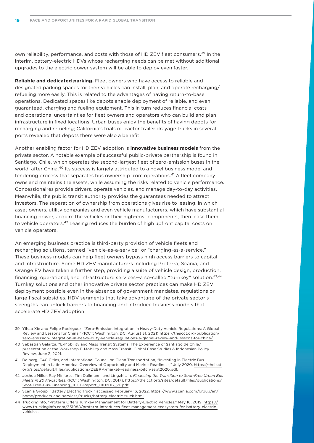own reliability, performance, and costs with those of HD ZEV fleet consumers.<sup>39</sup> In the interim, battery-electric HDVs whose recharging needs can be met without additional upgrades to the electric power system will be able to deploy even faster.

**Reliable and dedicated parking.** Fleet owners who have access to reliable and designated parking spaces for their vehicles can install, plan, and operate recharging/ refueling more easily. This is related to the advantages of having return-to-base operations. Dedicated spaces like depots enable deployment of reliable, and even guaranteed, charging and fueling equipment. This in turn reduces financial costs and operational uncertainties for fleet owners and operators who can build and plan infrastructure in fixed locations. Urban buses enjoy the benefits of having depots for recharging and refueling; California's trials of tractor trailer drayage trucks in several ports revealed that depots there were also a benefit.

Another enabling factor for HD ZEV adoption is **innovative business models** from the private sector. A notable example of successful public-private partnership is found in Santiago, Chile, which operates the second-largest fleet of zero-emission buses in the world, after China.40 Its success is largely attributed to a novel business model and tendering process that separates bus ownership from operations.<sup>41</sup> A fleet company owns and maintains the assets, while assuming the risks related to vehicle performance. Concessionaires provide drivers, operate vehicles, and manage day-to-day activities. Meanwhile, the public transit authority provides the guarantees needed to attract investors. The separation of ownership from operations gives rise to leasing, in which asset owners, utility companies and even vehicle manufacturers, which have substantial financing power, acquire the vehicles or their high-cost components, then lease them to vehicle operators.<sup>42</sup> Leasing reduces the burden of high upfront capital costs on vehicle operators.

An emerging business practice is third-party provision of vehicle fleets and recharging solutions, termed "vehicle-as-a-service" or "charging-as-a-service." These business models can help fleet owners bypass high access barriers to capital and infrastructure. Some HD ZEV manufacturers including Proterra, Scania, and Orange EV have taken a further step, providing a suite of vehicle design, production, financing, operational, and infrastructure services—a so-called "turnkey" solution.43,44 Turnkey solutions and other innovative private sector practices can make HD ZEV deployment possible even in the absence of government mandates, regulations or large fiscal subsidies. HDV segments that take advantage of the private sector's strengths can unlock barriers to financing and introduce business models that accelerate HD ZEV adoption.

<sup>39</sup> Yihao Xie and Felipe Rodríguez, "Zero-Emission Integration in Heavy-Duty Vehicle Regulations: A Global Review and Lessons for China," (ICCT: Washington, DC, August 31, 2021) [https://theicct.org/publication/](https://theicct.org/publication/zero-emission-integration-in-heavy-duty-vehicle-regulations-a-global-review-and-lessons-for-china/) [zero-emission-integration-in-heavy-duty-vehicle-regulations-a-global-review-and-lessons-for-china/](https://theicct.org/publication/zero-emission-integration-in-heavy-duty-vehicle-regulations-a-global-review-and-lessons-for-china/).

<sup>40</sup> Sebastián Galarza, "E-Mobility and Mass Transit Systems: The Experience of Santiago de Chile," presentation at the Workshop E-Mobility and Mass Transit: Global Case Studies & Indonesian Policy Review, June 3, 2021.

<sup>41</sup> Dalberg, C40 Cities, and International Council on Clean Transportation, "Investing in Electric Bus Deployment in Latin America: Overview of Opportunity and Market Readiness," July 2020, [https://theicct.](https://theicct.org/sites/default/files/publications/ZEBRA-market-readiness-pitch-sept2020.pdf) [org/sites/default/files/publications/ZEBRA-market-readiness-pitch-sept2020.pdf](https://theicct.org/sites/default/files/publications/ZEBRA-market-readiness-pitch-sept2020.pdf).

<sup>42</sup> Joshua Miller, Ray Minjares, Tim Dallmann, and Lingzhi Jin, *Financing the Transition to Soot-Free Urban Bus Fleets in 20 Megacities*, (ICCT: Washington, DC, 2017), [https://theicct.org/sites/default/files/publications/](https://theicct.org/sites/default/files/publications/Soot-Free-Bus-Financing_ICCT-Report_11102017_vF.pdf) [Soot-Free-Bus-Financing\\_ICCT-Report\\_11102017\\_vF.pdf.](https://theicct.org/sites/default/files/publications/Soot-Free-Bus-Financing_ICCT-Report_11102017_vF.pdf)

<sup>43</sup> Scania Group, "Battery Electric Truck," accessed February 16, 2022, [https://www.scania.com/group/en/](https://www.scania.com/group/en/home/products-and-services/trucks/battery-electric-truck.html) [home/products-and-services/trucks/battery-electric-truck.html.](https://www.scania.com/group/en/home/products-and-services/trucks/battery-electric-truck.html)

<sup>44</sup> Truckinginfo, "Proterra Offers Turnkey Management for Battery-Electric Vehicles," May 16, 2019, [https://](https://www.truckinginfo.com/331988/proterra-introduces-fleet-management-ecosystem-for-battery-electric-vehicles) [www.truckinginfo.com/331988/proterra-introduces-fleet-management-ecosystem-for-battery-electric](https://www.truckinginfo.com/331988/proterra-introduces-fleet-management-ecosystem-for-battery-electric-vehicles)[vehicles](https://www.truckinginfo.com/331988/proterra-introduces-fleet-management-ecosystem-for-battery-electric-vehicles).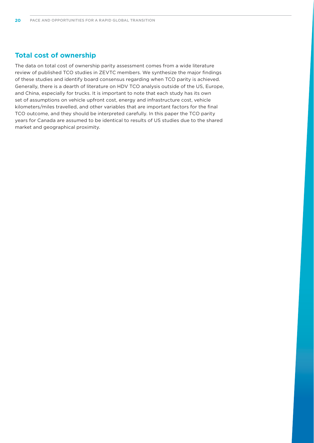## **Total cost of ownership**

The data on total cost of ownership parity assessment comes from a wide literature review of published TCO studies in ZEVTC members. We synthesize the major findings of these studies and identify board consensus regarding when TCO parity is achieved. Generally, there is a dearth of literature on HDV TCO analysis outside of the US, Europe, and China, especially for trucks. It is important to note that each study has its own set of assumptions on vehicle upfront cost, energy and infrastructure cost, vehicle kilometers/miles travelled, and other variables that are important factors for the final TCO outcome, and they should be interpreted carefully. In this paper the TCO parity years for Canada are assumed to be identical to results of US studies due to the shared market and geographical proximity.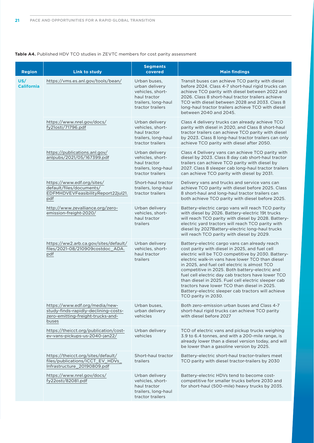#### **Table A4.** Published HDV TCO studies in ZEVTC members for cost parity assessment

| <b>Region</b>            | <b>Link to study</b>                                                                                                 | <b>Segments</b><br>covered                                                                                    | <b>Main findings</b>                                                                                                                                                                                                                                                                                                                                                                                                                                                                                                                                   |
|--------------------------|----------------------------------------------------------------------------------------------------------------------|---------------------------------------------------------------------------------------------------------------|--------------------------------------------------------------------------------------------------------------------------------------------------------------------------------------------------------------------------------------------------------------------------------------------------------------------------------------------------------------------------------------------------------------------------------------------------------------------------------------------------------------------------------------------------------|
| US/<br><b>California</b> | https://vms.es.anl.gov/tools/bean/                                                                                   | Urban buses,<br>urban delivery<br>vehicles, short-<br>haul tractor<br>trailers, long-haul<br>tractor trailers | Transit buses can achieve TCO parity with diesel<br>before 2024. Class 4-7 short-haul rigid trucks can<br>achieve TCO parity with diesel between 2022 and<br>2026. Class 8 short-haul tractor trailers achieve<br>TCO with diesel between 2028 and 2033. Class 8<br>long-haul tractor trailers achieve TCO with diesel<br>between 2040 and 2045.                                                                                                                                                                                                       |
|                          | https://www.nrel.gov/docs/<br>fy21osti/71796.pdf                                                                     | Urban delivery<br>vehicles, short-<br>haul tractor<br>trailers, long-haul<br>tractor trailers                 | Class 4 delivery trucks can already achieve TCO<br>parity with diesel in 2020, and Class 8 short-haul<br>tractor trailers can achieve TCO parity with diesel<br>by 2023. Class 8 long-haul tractor trailers can only<br>achieve TCO parity with diesel after 2050.                                                                                                                                                                                                                                                                                     |
|                          | https://publications.anl.gov/<br>anlpubs/2021/05/167399.pdf                                                          | Urban delivery<br>vehicles, short-<br>haul tractor<br>trailers, long-haul<br>tractor trailers                 | Class 4 Delivery vans can achieve TCO parity with<br>diesel by 2023. Class 8 day cab short-haul tractor<br>trailers can achieve TCO parity with diesel by<br>2027. Class 8 sleeper cab long-haul tractor trailers<br>can achieve TCO parity with diesel by 2031.                                                                                                                                                                                                                                                                                       |
|                          | https://www.edf.org/sites/<br>default/files/documents/<br>EDFMHDVEVFeasibilityReport22jul21.<br>pdf                  | Short-haul tractor<br>trailers, long-haul<br>tractor trailers                                                 | Delivery vans and trucks and service vans can<br>achieve TCO parity with diesel before 2025. Class<br>8 short-haul and long-haul tractor trailers can<br>both achieve TCO parity with diesel before 2025.                                                                                                                                                                                                                                                                                                                                              |
|                          | http://www.zevalliance.org/zero-<br>emission-freight-2020/                                                           | Urban delivery<br>vehicles, short-<br>haul tractor<br>trailers                                                | Battery-electric cargo vans will reach TCO parity<br>with diesel by 2026. Battery-electric 19t trucks<br>will reach TCO parity with diesel by 2028. Battery-<br>electric yard tractors will reach TCO parity with<br>diesel by 2027Battery-electric long-haul trucks<br>will reach TCO parity with diesel by 2029.                                                                                                                                                                                                                                     |
|                          | https://ww2.arb.ca.gov/sites/default/<br>files/2021-08/210909costdoc_ADA.<br>pdf                                     | Urban delivery<br>vehicles, short-<br>haul tractor<br>trailers                                                | Battery-electric cargo vans can already reach<br>cost parity with diesel in 2025, and fuel cell<br>electric will be TCO competitive by 2030. Battery-<br>electric walk-in vans have lower TCO than diesel<br>in 2025, and fuel cell electric is almost TCO<br>competitive in 2025. Both battery-electric and<br>fuel cell electric day cab tractors have lower TCO<br>than diesel in 2025. Fuel cell electric sleeper cab<br>tractors have lower TCO than diesel in 2025.<br>Battery-electric sleeper cab tractors will achieve<br>TCO parity in 2030. |
|                          | https://www.edf.org/media/new-<br>study-finds-rapidly-declining-costs-<br>zero-emitting-freight-trucks-and-<br>buses | Urban buses,<br>urban delivery<br>vehicles                                                                    | Both zero-emission urban buses and Class 4-7<br>short-haul rigid trucks can achieve TCO parity<br>with diesel before 2027                                                                                                                                                                                                                                                                                                                                                                                                                              |
|                          | https://theicct.org/publication/cost-<br>ev-vans-pickups-us-2040-jan22/                                              | Urban delivery<br>vehicles                                                                                    | TCO of electric vans and pickup trucks weighing<br>3.9 to 6.4 tonnes, and with a 200-mile range, is<br>already lower than a diesel version today, and will<br>be lower than a gasoline version by 2025.                                                                                                                                                                                                                                                                                                                                                |
|                          | https://theicct.org/sites/default/<br>files/publications/ICCT_EV_HDVs_<br>Infrastructure_20190809.pdf                | Short-haul tractor<br>trailers                                                                                | Battery-electric short-haul tractor-trailers meet<br>TCO parity with diesel tractor-trailers by 2030                                                                                                                                                                                                                                                                                                                                                                                                                                                   |
|                          | https://www.nrel.gov/docs/<br>fy22osti/82081.pdf                                                                     | Urban delivery<br>vehicles, short-<br>haul tractor<br>trailers, long-haul<br>tractor trailers                 | Battery-electric HDVs tend to become cost-<br>competitive for smaller trucks before 2030 and<br>for short-haul (500-mile) heavy trucks by 2035.                                                                                                                                                                                                                                                                                                                                                                                                        |